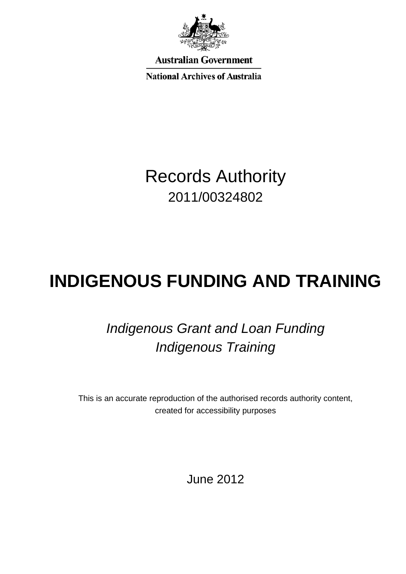

**Australian Government** 

**National Archives of Australia** 

Records Authority 2011/00324802

# **INDIGENOUS FUNDING AND TRAINING**

## *Indigenous Grant and Loan Funding Indigenous Training*

This is an accurate reproduction of the authorised records authority content, created for accessibility purposes

June 2012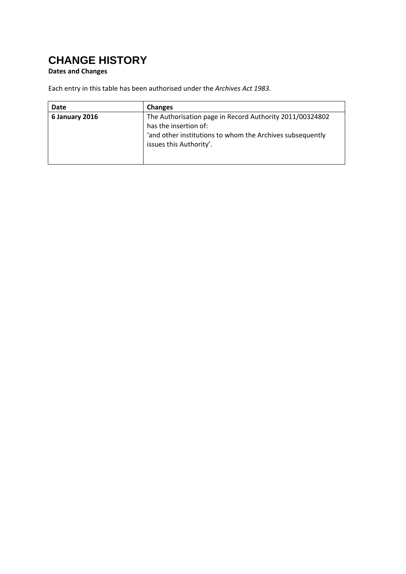### <span id="page-1-0"></span>**CHANGE HISTORY**

#### **Dates and Changes**

Each entry in this table has been authorised under the *Archives Act 1983.*

| Date           | <b>Changes</b>                                            |
|----------------|-----------------------------------------------------------|
| 6 January 2016 | The Authorisation page in Record Authority 2011/00324802  |
|                | has the insertion of:                                     |
|                | 'and other institutions to whom the Archives subsequently |
|                | issues this Authority'.                                   |
|                |                                                           |
|                |                                                           |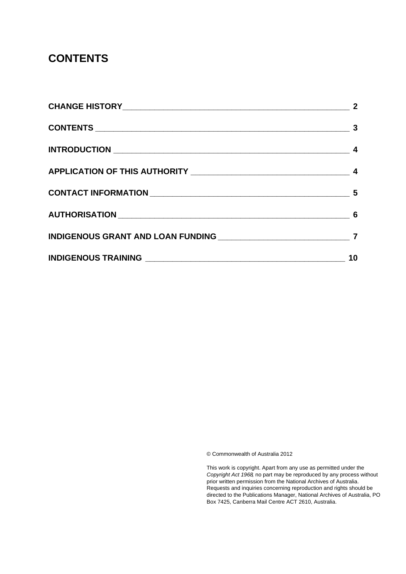#### <span id="page-2-0"></span>**CONTENTS**

| 10 |
|----|
|    |

© Commonwealth of Australia 2012

This work is copyright. Apart from any use as permitted under the *Copyright Act 1968,* no part may be reproduced by any process without prior written permission from the National Archives of Australia. Requests and inquiries concerning reproduction and rights should be directed to the Publications Manager, National Archives of Australia, PO Box 7425, Canberra Mail Centre ACT 2610, Australia.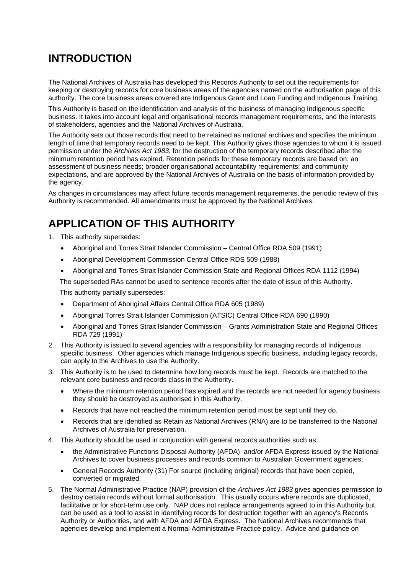#### <span id="page-3-0"></span>**INTRODUCTION**

The National Archives of Australia has developed this Records Authority to set out the requirements for keeping or destroying records for core business areas of the agencies named on the authorisation page of this authority. The core business areas covered are Indigenous Grant and Loan Funding and Indigenous Training.

This Authority is based on the identification and analysis of the business of managing Indigenous specific business. It takes into account legal and organisational records management requirements, and the interests of stakeholders, agencies and the National Archives of Australia.

The Authority sets out those records that need to be retained as national archives and specifies the minimum length of time that temporary records need to be kept. This Authority gives those agencies to whom it is issued permission under the *Archives Act 1983*, for the destruction of the temporary records described after the minimum retention period has expired. Retention periods for these temporary records are based on: an assessment of business needs; broader organisational accountability requirements; and community expectations, and are approved by the National Archives of Australia on the basis of information provided by the agency.

As changes in circumstances may affect future records management requirements, the periodic review of this Authority is recommended. All amendments must be approved by the National Archives.

#### <span id="page-3-1"></span>**APPLICATION OF THIS AUTHORITY**

- 1. This authority supersedes:
	- Aboriginal and Torres Strait Islander Commission Central Office RDA 509 (1991)
	- Aboriginal Development Commission Central Office RDS 509 (1988)
	- Aboriginal and Torres Strait Islander Commission State and Regional Offices RDA 1112 (1994)

The superseded RAs cannot be used to sentence records after the date of issue of this Authority.

This authority partially supersedes:

- Department of Aboriginal Affairs Central Office RDA 605 (1989)
- Aboriginal Torres Strait Islander Commission (ATSIC) Central Office RDA 690 (1990)
- Aboriginal and Torres Strait Islander Commission Grants Administration State and Regional Offices RDA 729 (1991)
- 2. This Authority is issued to several agencies with a responsibility for managing records of Indigenous specific business. Other agencies which manage Indigenous specific business, including legacy records, can apply to the Archives to use the Authority.
- 3. This Authority is to be used to determine how long records must be kept. Records are matched to the relevant core business and records class in the Authority.
	- Where the minimum retention period has expired and the records are not needed for agency business they should be destroyed as authorised in this Authority.
	- Records that have not reached the minimum retention period must be kept until they do.
	- Records that are identified as Retain as National Archives (RNA) are to be transferred to the National Archives of Australia for preservation.
- 4. This Authority should be used in conjunction with general records authorities such as:
	- the Administrative Functions Disposal Authority (AFDA) and/or AFDA Express issued by the National Archives to cover business processes and records common to Australian Government agencies;
	- General Records Authority (31) For source (including original) records that have been copied, converted or migrated.
- 5. The Normal Administrative Practice (NAP) provision of the *Archives Act 1983* gives agencies permission to destroy certain records without formal authorisation. This usually occurs where records are duplicated, facilitative or for short-term use only. NAP does not replace arrangements agreed to in this Authority but can be used as a tool to assist in identifying records for destruction together with an agency's Records Authority or Authorities, and with AFDA and AFDA Express. The National Archives recommends that agencies develop and implement a Normal Administrative Practice policy. Advice and guidance on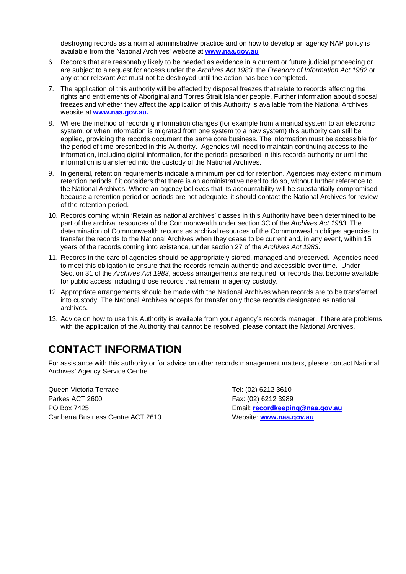destroying records as a normal administrative practice and on how to develop an agency NAP policy is available from the National Archives' website at **[www.naa.gov.au](http://www.naa.gov.au/)**

- 6. Records that are reasonably likely to be needed as evidence in a current or future judicial proceeding or are subject to a request for access under the *Archives Act 1983,* the *Freedom of Information Act 1982* or any other relevant Act must not be destroyed until the action has been completed.
- 7. The application of this authority will be affected by disposal freezes that relate to records affecting the rights and entitlements of Aboriginal and Torres Strait Islander people. Further information about disposal freezes and whether they affect the application of this Authority is available from the National Archives website at **[www.naa.gov.au.](http://www.naa.gov.au/)**
- 8. Where the method of recording information changes (for example from a manual system to an electronic system, or when information is migrated from one system to a new system) this authority can still be applied, providing the records document the same core business. The information must be accessible for the period of time prescribed in this Authority. Agencies will need to maintain continuing access to the information, including digital information, for the periods prescribed in this records authority or until the information is transferred into the custody of the National Archives.
- 9. In general, retention requirements indicate a minimum period for retention. Agencies may extend minimum retention periods if it considers that there is an administrative need to do so, without further reference to the National Archives. Where an agency believes that its accountability will be substantially compromised because a retention period or periods are not adequate, it should contact the National Archives for review of the retention period.
- 10. Records coming within 'Retain as national archives' classes in this Authority have been determined to be part of the archival resources of the Commonwealth under section 3C of the *Archives Act 1983*. The determination of Commonwealth records as archival resources of the Commonwealth obliges agencies to transfer the records to the National Archives when they cease to be current and, in any event, within 15 years of the records coming into existence, under section 27 of the *Archives Act 1983*.
- 11. Records in the care of agencies should be appropriately stored, managed and preserved. Agencies need to meet this obligation to ensure that the records remain authentic and accessible over time. Under Section 31 of the *Archives Act 1983*, access arrangements are required for records that become available for public access including those records that remain in agency custody.
- 12. Appropriate arrangements should be made with the National Archives when records are to be transferred into custody. The National Archives accepts for transfer only those records designated as national archives.
- 13. Advice on how to use this Authority is available from your agency's records manager. If there are problems with the application of the Authority that cannot be resolved, please contact the National Archives.

#### <span id="page-4-0"></span>**CONTACT INFORMATION**

For assistance with this authority or for advice on other records management matters, please contact National Archives' Agency Service Centre.

Queen Victoria Terrace Tel: (02) 6212 3610 Parkes ACT 2600 Fax: (02) 6212 3989 PO Box 7425 Email: **[recordkeeping@naa.gov.au](mailto:recordkeeping@naa.gov.au)** Canberra Business Centre ACT 2610 Website: **[www.naa.gov.au](http://www.naa.gov.au/)**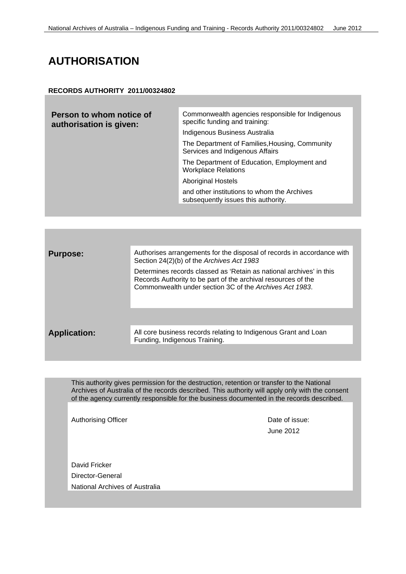#### <span id="page-5-0"></span>**AUTHORISATION**

#### **RECORDS AUTHORITY 2011/00324802**

| Person to whom notice of<br>authorisation is given: | Commonwealth agencies responsible for Indigenous<br>specific funding and training: |
|-----------------------------------------------------|------------------------------------------------------------------------------------|
|                                                     | Indigenous Business Australia                                                      |
|                                                     | The Department of Families, Housing, Community<br>Services and Indigenous Affairs  |
|                                                     | The Department of Education, Employment and<br><b>Workplace Relations</b>          |
|                                                     | <b>Aboriginal Hostels</b>                                                          |
|                                                     | and other institutions to whom the Archives<br>subsequently issues this authority. |
|                                                     |                                                                                    |

| <b>Purpose:</b>     | Authorises arrangements for the disposal of records in accordance with<br>Section 24(2)(b) of the Archives Act 1983                                                                             |
|---------------------|-------------------------------------------------------------------------------------------------------------------------------------------------------------------------------------------------|
|                     | Determines records classed as 'Retain as national archives' in this<br>Records Authority to be part of the archival resources of the<br>Commonwealth under section 3C of the Archives Act 1983. |
|                     |                                                                                                                                                                                                 |
| <b>Application:</b> | All core business records relating to Indigenous Grant and Loan<br>Funding, Indigenous Training.                                                                                                |

This authority gives permission for the destruction, retention or transfer to the National Archives of Australia of the records described. This authority will apply only with the consent of the agency currently responsible for the business documented in the records described.

Authorising Officer **Date of issue: Date of issue:** 

June 2012

David Fricker Director-General National Archives of Australia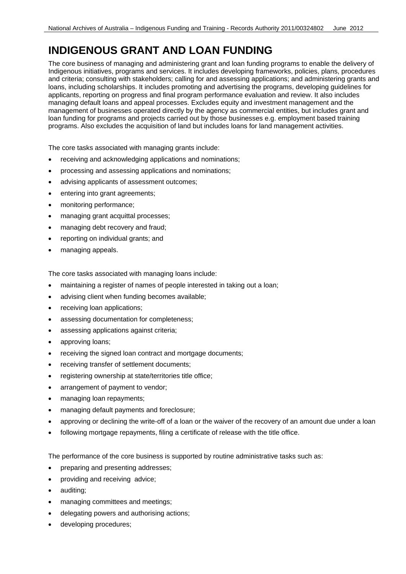#### <span id="page-6-0"></span>**INDIGENOUS GRANT AND LOAN FUNDING**

The core business of managing and administering grant and loan funding programs to enable the delivery of Indigenous initiatives, programs and services. It includes developing frameworks, policies, plans, procedures and criteria; consulting with stakeholders; calling for and assessing applications; and administering grants and loans, including scholarships. It includes promoting and advertising the programs, developing guidelines for applicants, reporting on progress and final program performance evaluation and review. It also includes managing default loans and appeal processes. Excludes equity and investment management and the management of businesses operated directly by the agency as commercial entities, but includes grant and loan funding for programs and projects carried out by those businesses e.g. employment based training programs. Also excludes the acquisition of land but includes loans for land management activities.

The core tasks associated with managing grants include:

- receiving and acknowledging applications and nominations;
- processing and assessing applications and nominations;
- advising applicants of assessment outcomes;
- entering into grant agreements;
- monitoring performance;
- managing grant acquittal processes;
- managing debt recovery and fraud;
- reporting on individual grants; and
- managing appeals.

The core tasks associated with managing loans include:

- maintaining a register of names of people interested in taking out a loan;
- advising client when funding becomes available;
- receiving loan applications;
- assessing documentation for completeness;
- assessing applications against criteria;
- approving loans;
- receiving the signed loan contract and mortgage documents;
- receiving transfer of settlement documents;
- registering ownership at state/territories title office;
- arrangement of payment to vendor;
- managing loan repayments;
- managing default payments and foreclosure;
- approving or declining the write-off of a loan or the waiver of the recovery of an amount due under a loan
- following mortgage repayments, filing a certificate of release with the title office.

The performance of the core business is supported by routine administrative tasks such as:

- preparing and presenting addresses;
- providing and receiving advice;
- auditing;
- managing committees and meetings;
- delegating powers and authorising actions;
- developing procedures;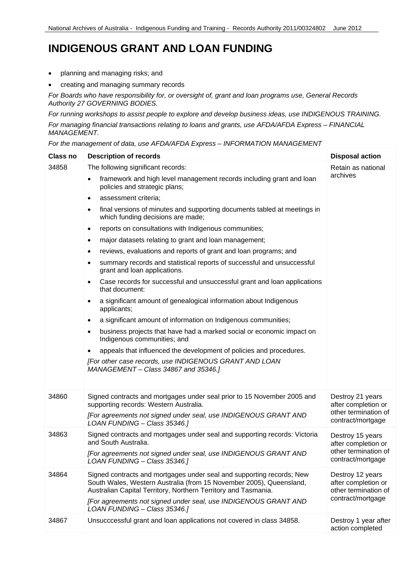#### **INDIGENOUS GRANT AND LOAN FUNDING**

- planning and managing risks; and
- creating and managing summary records

*For Boards who have responsibility for, or oversight of, grant and loan programs use, General Records Authority 27 GOVERNING BODIES.* 

*For running workshops to assist people to explore and develop business ideas, use INDIGENOUS TRAINING.*

*For managing financial transactions relating to loans and grants, use AFDA/AFDA Express – FINANCIAL MANAGEMENT.*

*For the management of data, use AFDA/AFDA Express – INFORMATION MANAGEMENT*

| <b>Class no</b> | <b>Description of records</b>                                                                                                                                                                                                                                                                                                                                                                                                                                                                                                                                                                                                                                                                                                                                                                                                                                                                                                                                                                                                                                                                                                                                                                                    | <b>Disposal action</b>                                                               |
|-----------------|------------------------------------------------------------------------------------------------------------------------------------------------------------------------------------------------------------------------------------------------------------------------------------------------------------------------------------------------------------------------------------------------------------------------------------------------------------------------------------------------------------------------------------------------------------------------------------------------------------------------------------------------------------------------------------------------------------------------------------------------------------------------------------------------------------------------------------------------------------------------------------------------------------------------------------------------------------------------------------------------------------------------------------------------------------------------------------------------------------------------------------------------------------------------------------------------------------------|--------------------------------------------------------------------------------------|
| 34858           | The following significant records:<br>framework and high level management records including grant and loan<br>$\bullet$<br>policies and strategic plans;<br>assessment criteria;<br>$\bullet$<br>final versions of minutes and supporting documents tabled at meetings in<br>٠<br>which funding decisions are made;<br>reports on consultations with Indigenous communities;<br>$\bullet$<br>major datasets relating to grant and loan management;<br>٠<br>reviews, evaluations and reports of grant and loan programs; and<br>٠<br>summary records and statistical reports of successful and unsuccessful<br>٠<br>grant and loan applications.<br>Case records for successful and unsuccessful grant and loan applications<br>٠<br>that document:<br>a significant amount of genealogical information about Indigenous<br>٠<br>applicants;<br>a significant amount of information on Indigenous communities;<br>$\bullet$<br>business projects that have had a marked social or economic impact on<br>٠<br>Indigenous communities; and<br>appeals that influenced the development of policies and procedures.<br>[For other case records, use INDIGENOUS GRANT AND LOAN<br>MANAGEMENT - Class 34867 and 35346.] | Retain as national<br>archives                                                       |
| 34860           | Signed contracts and mortgages under seal prior to 15 November 2005 and<br>supporting records: Western Australia.<br>[For agreements not signed under seal, use INDIGENOUS GRANT AND<br>LOAN FUNDING - Class 35346.]                                                                                                                                                                                                                                                                                                                                                                                                                                                                                                                                                                                                                                                                                                                                                                                                                                                                                                                                                                                             | Destroy 21 years<br>after completion or<br>other termination of<br>contract/mortgage |
| 34863           | Signed contracts and mortgages under seal and supporting records: Victoria<br>and South Australia.<br>[For agreements not signed under seal, use INDIGENOUS GRANT AND<br>LOAN FUNDING - Class 35346.]                                                                                                                                                                                                                                                                                                                                                                                                                                                                                                                                                                                                                                                                                                                                                                                                                                                                                                                                                                                                            | Destroy 15 years<br>after completion or<br>other termination of<br>contract/mortgage |
| 34864           | Signed contracts and mortgages under seal and supporting records; New<br>South Wales, Western Australia (from 15 November 2005), Queensland,<br>Australian Capital Territory, Northern Territory and Tasmania.<br>[For agreements not signed under seal, use INDIGENOUS GRANT AND<br>LOAN FUNDING - Class 35346.]                                                                                                                                                                                                                                                                                                                                                                                                                                                                                                                                                                                                                                                                                                                                                                                                                                                                                                | Destroy 12 years<br>after completion or<br>other termination of<br>contract/mortgage |
| 34867           | Unsucccessful grant and loan applications not covered in class 34858.                                                                                                                                                                                                                                                                                                                                                                                                                                                                                                                                                                                                                                                                                                                                                                                                                                                                                                                                                                                                                                                                                                                                            | Destroy 1 year after<br>action completed                                             |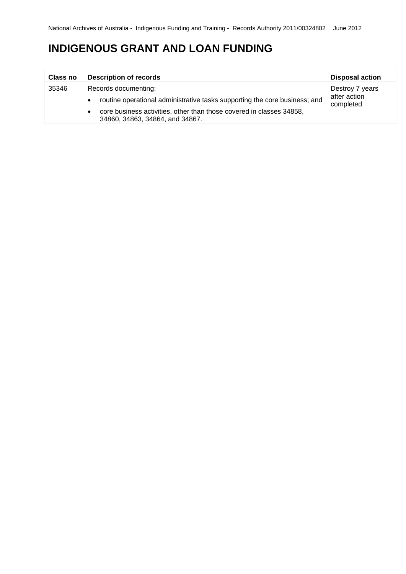#### **INDIGENOUS GRANT AND LOAN FUNDING**

| <b>Class no</b> | <b>Description of records</b>                                                                           | <b>Disposal action</b>                       |
|-----------------|---------------------------------------------------------------------------------------------------------|----------------------------------------------|
| 35346           | Records documenting:                                                                                    | Destroy 7 years<br>after action<br>completed |
|                 | routine operational administrative tasks supporting the core business; and                              |                                              |
|                 | core business activities, other than those covered in classes 34858,<br>34860, 34863, 34864, and 34867. |                                              |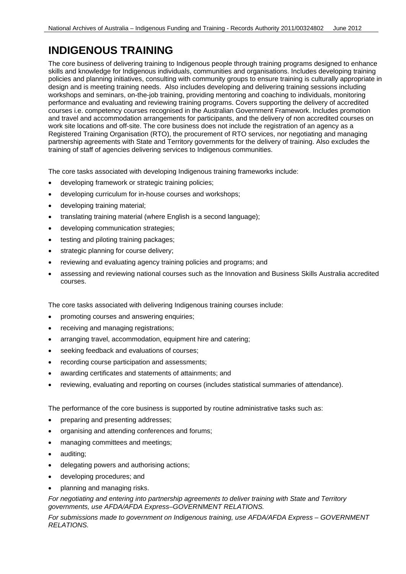#### <span id="page-9-0"></span>**INDIGENOUS TRAINING**

The core business of delivering training to Indigenous people through training programs designed to enhance skills and knowledge for Indigenous individuals, communities and organisations. Includes developing training policies and planning initiatives, consulting with community groups to ensure training is culturally appropriate in design and is meeting training needs. Also includes developing and delivering training sessions including workshops and seminars, on-the-job training, providing mentoring and coaching to individuals, monitoring performance and evaluating and reviewing training programs. Covers supporting the delivery of accredited courses i.e. competency courses recognised in the Australian Government Framework. Includes promotion and travel and accommodation arrangements for participants, and the delivery of non accredited courses on work site locations and off-site. The core business does not include the registration of an agency as a Registered Training Organisation (RTO), the procurement of RTO services, nor negotiating and managing partnership agreements with State and Territory governments for the delivery of training. Also excludes the training of staff of agencies delivering services to Indigenous communities.

The core tasks associated with developing Indigenous training frameworks include:

- developing framework or strategic training policies;
- developing curriculum for in-house courses and workshops;
- developing training material;
- translating training material (where English is a second language);
- developing communication strategies;
- testing and piloting training packages;
- strategic planning for course delivery;
- reviewing and evaluating agency training policies and programs; and
- assessing and reviewing national courses such as the Innovation and Business Skills Australia accredited courses.

The core tasks associated with delivering Indigenous training courses include:

- promoting courses and answering enquiries;
- receiving and managing registrations;
- arranging travel, accommodation, equipment hire and catering;
- seeking feedback and evaluations of courses;
- recording course participation and assessments;
- awarding certificates and statements of attainments; and
- reviewing, evaluating and reporting on courses (includes statistical summaries of attendance).

The performance of the core business is supported by routine administrative tasks such as:

- preparing and presenting addresses;
- organising and attending conferences and forums;
- managing committees and meetings;
- auditing;
- delegating powers and authorising actions;
- developing procedures; and
- planning and managing risks.

*For negotiating and entering into partnership agreements to deliver training with State and Territory governments, use AFDA/AFDA Express–GOVERNMENT RELATIONS.*

*For submissions made to government on Indigenous training, use AFDA/AFDA Express – GOVERNMENT RELATIONS.*